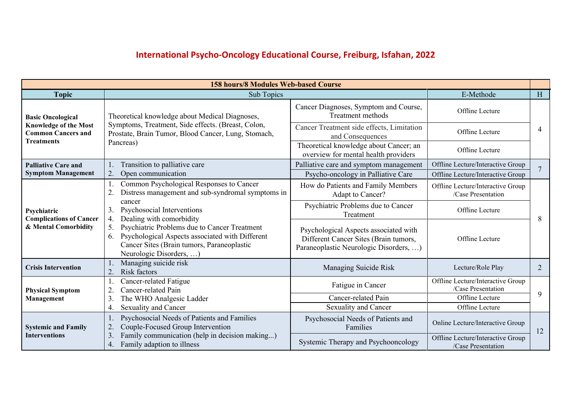## **International Psycho-Oncology Educational Course, Freiburg, Isfahan, 2022**

| <b>158 hours/8 Modules Web-based Course</b>                                                                |                                                                                                                                                                                      |                                                                                                                          |                                                         |                |
|------------------------------------------------------------------------------------------------------------|--------------------------------------------------------------------------------------------------------------------------------------------------------------------------------------|--------------------------------------------------------------------------------------------------------------------------|---------------------------------------------------------|----------------|
| <b>Topic</b>                                                                                               | Sub Topics                                                                                                                                                                           |                                                                                                                          | E-Methode                                               | H              |
| <b>Basic Oncological</b><br><b>Knowledge of the Most</b><br><b>Common Cancers and</b><br><b>Treatments</b> | Theoretical knowledge about Medical Diagnoses,<br>Symptoms, Treatment, Side effects. (Breast, Colon,<br>Prostate, Brain Tumor, Blood Cancer, Lung, Stomach,<br>Pancreas)             | Cancer Diagnoses, Symptom and Course,<br><b>Treatment</b> methods                                                        | Offline Lecture                                         |                |
|                                                                                                            |                                                                                                                                                                                      | Cancer Treatment side effects, Limitation<br>and Consequences                                                            | Offline Lecture                                         | 4              |
|                                                                                                            |                                                                                                                                                                                      | Theoretical knowledge about Cancer; an<br>overview for mental health providers                                           | Offline Lecture                                         |                |
| <b>Palliative Care and</b>                                                                                 | Transition to palliative care                                                                                                                                                        | Palliative care and symptom management                                                                                   | Offline Lecture/Interactive Group                       | 7              |
| <b>Symptom Management</b>                                                                                  | Open communication<br>2.                                                                                                                                                             | Psycho-oncology in Palliative Care                                                                                       | Offline Lecture/Interactive Group                       |                |
|                                                                                                            | Common Psychological Responses to Cancer<br>Distress management and sub-syndromal symptoms in<br>$\overline{2}$ .                                                                    | How do Patients and Family Members<br>Adapt to Cancer?                                                                   | Offline Lecture/Interactive Group<br>/Case Presentation |                |
| Psychiatric<br><b>Complications of Cancer</b>                                                              | cancer<br>Psychosocial Interventions<br>3.<br>Dealing with comorbidity<br>4.                                                                                                         | Psychiatric Problems due to Cancer<br>Treatment                                                                          | Offline Lecture                                         | 8              |
| & Mental Comorbidity                                                                                       | Psychiatric Problems due to Cancer Treatment<br>5.<br>Psychological Aspects associated with Different<br>6.<br>Cancer Sites (Brain tumors, Paraneoplastic<br>Neurologic Disorders, ) | Psychological Aspects associated with<br>Different Cancer Sites (Brain tumors,<br>Paraneoplastic Neurologic Disorders, ) | Offline Lecture                                         |                |
| <b>Crisis Intervention</b>                                                                                 | Managing suicide risk<br>Risk factors<br>$\overline{2}$ .                                                                                                                            | Managing Suicide Risk                                                                                                    | Lecture/Role Play                                       | $\overline{2}$ |
| <b>Physical Symptom</b>                                                                                    | Cancer-related Fatigue<br>Cancer-related Pain<br>2.                                                                                                                                  | Fatigue in Cancer                                                                                                        | Offline Lecture/Interactive Group<br>/Case Presentation |                |
| Management                                                                                                 | The WHO Analgesic Ladder<br>3.                                                                                                                                                       | Cancer-related Pain                                                                                                      | Offline Lecture                                         | 9              |
|                                                                                                            | <b>Sexuality and Cancer</b><br>4.                                                                                                                                                    | Sexuality and Cancer                                                                                                     | Offline Lecture                                         |                |
| <b>Systemic and Family</b>                                                                                 | Psychosocial Needs of Patients and Families<br>Couple-Focused Group Intervention<br>2.                                                                                               | Psychosocial Needs of Patients and<br>Families                                                                           | Online Lecture/Interactive Group                        | 12             |
| <b>Interventions</b>                                                                                       | Family communication (help in decision making)<br>$\mathfrak{Z}$ .<br>Family adaption to illness<br>4.                                                                               | Systemic Therapy and Psychooncology                                                                                      | Offline Lecture/Interactive Group<br>/Case Presentation |                |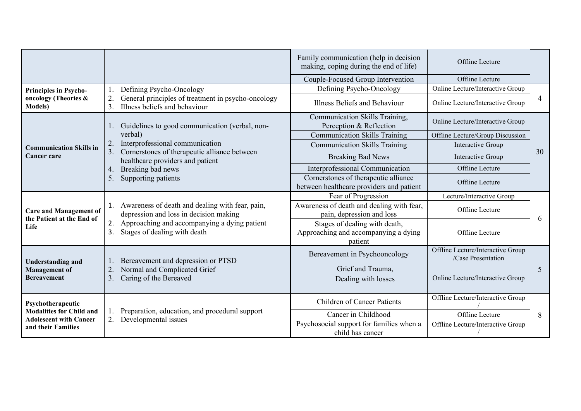|                                                                    |                                                                                                                                                                                          | Family communication (help in decision<br>making, coping during the end of life) | Offline Lecture                                         |    |
|--------------------------------------------------------------------|------------------------------------------------------------------------------------------------------------------------------------------------------------------------------------------|----------------------------------------------------------------------------------|---------------------------------------------------------|----|
|                                                                    |                                                                                                                                                                                          | Couple-Focused Group Intervention                                                | Offline Lecture                                         |    |
| <b>Principles in Psycho-</b>                                       | Defining Psycho-Oncology                                                                                                                                                                 | Defining Psycho-Oncology                                                         | Online Lecture/Interactive Group                        |    |
| oncology (Theories &<br><b>Models</b> )                            | General principles of treatment in psycho-oncology<br>Illness beliefs and behaviour<br>3.                                                                                                | Illness Beliefs and Behaviour                                                    | Online Lecture/Interactive Group                        | 4  |
|                                                                    | Guidelines to good communication (verbal, non-                                                                                                                                           | Communication Skills Training,<br>Perception & Reflection                        | Online Lecture/Interactive Group                        |    |
|                                                                    | verbal)                                                                                                                                                                                  | <b>Communication Skills Training</b>                                             | Offline Lecture/Group Discussion                        |    |
| <b>Communication Skills in</b>                                     | Interprofessional communication<br>2.                                                                                                                                                    | <b>Communication Skills Training</b>                                             | Interactive Group                                       |    |
| <b>Cancer care</b>                                                 | Cornerstones of therapeutic alliance between<br>3.<br>healthcare providers and patient                                                                                                   | <b>Breaking Bad News</b>                                                         | Interactive Group                                       | 30 |
|                                                                    | Breaking bad news<br>4.<br>Supporting patients<br>5.                                                                                                                                     | Interprofessional Communication                                                  | Offline Lecture                                         |    |
|                                                                    |                                                                                                                                                                                          | Cornerstones of therapeutic alliance<br>between healthcare providers and patient | Offline Lecture                                         |    |
|                                                                    | 1. Awareness of death and dealing with fear, pain,<br>depression and loss in decision making<br>Approaching and accompanying a dying patient<br>2.<br>Stages of dealing with death<br>3. | Fear of Progression                                                              | Lecture/Interactive Group                               |    |
| <b>Care and Management of</b><br>the Patient at the End of<br>Life |                                                                                                                                                                                          | Awareness of death and dealing with fear,<br>pain, depression and loss           | Offline Lecture                                         | 6  |
|                                                                    |                                                                                                                                                                                          | Stages of dealing with death,<br>Approaching and accompanying a dying<br>patient | Offline Lecture                                         |    |
| <b>Understanding and</b>                                           | Bereavement and depression or PTSD                                                                                                                                                       | Bereavement in Psychooncology                                                    | Offline Lecture/Interactive Group<br>/Case Presentation |    |
| <b>Management</b> of<br><b>Bereavement</b>                         | Normal and Complicated Grief<br>$\overline{2}$<br>Caring of the Bereaved<br>3.                                                                                                           | Grief and Trauma,<br>Dealing with losses                                         | Online Lecture/Interactive Group                        | 5  |
| Psychotherapeutic                                                  |                                                                                                                                                                                          | <b>Children of Cancer Patients</b>                                               | Offline Lecture/Interactive Group                       |    |
| <b>Modalities for Child and</b>                                    | Preparation, education, and procedural support                                                                                                                                           | Cancer in Childhood                                                              | Offline Lecture                                         | 8  |
| <b>Adolescent with Cancer</b><br>and their Families                | Developmental issues<br>2.                                                                                                                                                               | Psychosocial support for families when a<br>child has cancer                     | Offline Lecture/Interactive Group                       |    |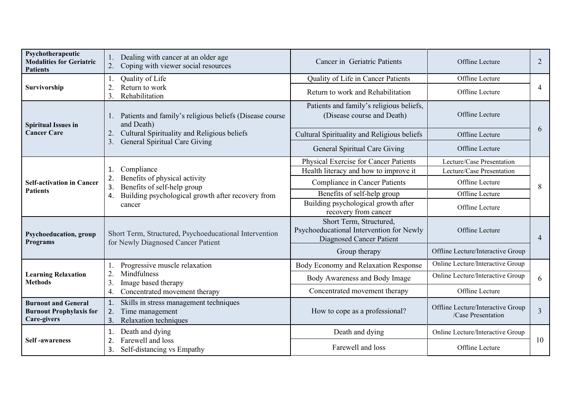| Psychotherapeutic<br><b>Modalities for Geriatric</b><br><b>Patients</b>     | Dealing with cancer at an older age<br>Coping with viewer social resources<br>2.                                                                                            | Cancer in Geriatric Patients                                                                           | Offline Lecture                                         | $\overline{2}$ |
|-----------------------------------------------------------------------------|-----------------------------------------------------------------------------------------------------------------------------------------------------------------------------|--------------------------------------------------------------------------------------------------------|---------------------------------------------------------|----------------|
| Survivorship                                                                | Quality of Life                                                                                                                                                             | Quality of Life in Cancer Patients                                                                     | Offline Lecture                                         |                |
|                                                                             | Return to work<br>$\overline{2}$ .<br>Rehabilitation<br>3.                                                                                                                  | Return to work and Rehabilitation                                                                      | Offline Lecture                                         | 4              |
| <b>Spiritual Issues in</b>                                                  | 1. Patients and family's religious beliefs (Disease course<br>and Death)<br>Cultural Spirituality and Religious beliefs<br>2.<br><b>General Spiritual Care Giving</b><br>3. | Patients and family's religious beliefs,<br>(Disease course and Death)                                 | Offline Lecture                                         | 6              |
| <b>Cancer Care</b>                                                          |                                                                                                                                                                             | Cultural Spirituality and Religious beliefs                                                            | Offline Lecture                                         |                |
|                                                                             |                                                                                                                                                                             | General Spiritual Care Giving                                                                          | Offline Lecture                                         |                |
|                                                                             | Compliance<br>$\mathbf 1$<br>Benefits of physical activity<br>2.<br>Benefits of self-help group<br>3.<br>Building psychological growth after recovery from<br>4.<br>cancer  | Physical Exercise for Cancer Patients                                                                  | Lecture/Case Presentation                               | 8              |
| <b>Self-activation in Cancer</b><br><b>Patients</b>                         |                                                                                                                                                                             | Health literacy and how to improve it                                                                  | Lecture/Case Presentation                               |                |
|                                                                             |                                                                                                                                                                             | Compliance in Cancer Patients                                                                          | Offline Lecture                                         |                |
|                                                                             |                                                                                                                                                                             | Benefits of self-help group                                                                            | Offline Lecture                                         |                |
|                                                                             |                                                                                                                                                                             | Building psychological growth after<br>recovery from cancer                                            | Offline Lecture                                         |                |
| <b>Psychoeducation</b> , group<br><b>Programs</b>                           | Short Term, Structured, Psychoeducational Intervention<br>for Newly Diagnosed Cancer Patient                                                                                | Short Term, Structured,<br>Psychoeducational Intervention for Newly<br><b>Diagnosed Cancer Patient</b> | Offline Lecture                                         | $\overline{4}$ |
|                                                                             |                                                                                                                                                                             | Group therapy                                                                                          | Offline Lecture/Interactive Group                       |                |
|                                                                             | Progressive muscle relaxation<br>Mindfulness<br>3<br>Image based therapy<br>Concentrated movement therapy<br>4.                                                             | Body Economy and Relaxation Response                                                                   | Online Lecture/Interactive Group                        |                |
| <b>Learning Relaxation</b><br><b>Methods</b>                                |                                                                                                                                                                             | Body Awareness and Body Image                                                                          | Online Lecture/Interactive Group                        | 6              |
|                                                                             |                                                                                                                                                                             | Concentrated movement therapy                                                                          | Offline Lecture                                         |                |
| <b>Burnout and General</b><br><b>Burnout Prophylaxis for</b><br>Care-givers | Skills in stress management techniques<br>1.<br>Time management<br>2.<br>Relaxation techniques<br>3.                                                                        | How to cope as a professional?                                                                         | Offline Lecture/Interactive Group<br>/Case Presentation | 3              |
| <b>Self-awareness</b>                                                       | Death and dying<br>1.<br>Farewell and loss<br>2<br>Self-distancing vs Empathy<br>3.                                                                                         | Death and dying                                                                                        | Online Lecture/Interactive Group                        |                |
|                                                                             |                                                                                                                                                                             | Farewell and loss                                                                                      | Offline Lecture                                         | 10             |